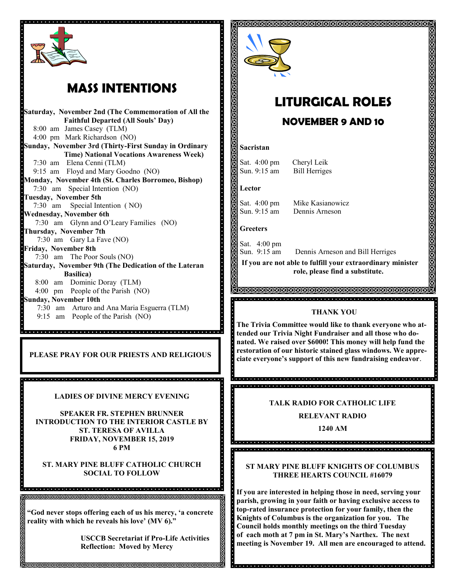

## **MASS INTENTIONS**

**Saturday, November 2nd (The Commemoration of All the Faithful Departed (All Souls' Day)** 8:00 am James Casey (TLM) 4:00 pm Mark Richardson (NO) **Sunday, November 3rd (Thirty-First Sunday in Ordinary Time) National Vocations Awareness Week)** 7:30 am Elena Cenni (TLM) 9:15 am Floyd and Mary Goodno (NO) **Monday, November 4th (St. Charles Borromeo, Bishop)** 7:30 am Special Intention (NO) **Tuesday, November 5th**  7:30 am Special Intention ( NO) **Wednesday, November 6th** 7:30 am Glynn and O'Leary Families (NO) **Thursday, November 7th** 7:30 am Gary La Fave (NO) **Friday, November 8th** 7:30 am The Poor Souls (NO) **Saturday, November 9th (The Dedication of the Lateran Basilica)** 8:00 am Dominic Doray (TLM) 4:00 pm People of the Parish (NO) **Sunday, November 10th**  7:30 am Arturo and Ana Maria Esguerra (TLM) 9:15 am People of the Parish (NO)

**PLEASE PRAY FOR OUR PRIESTS AND RELIGIOUS**

**LADIES OF DIVINE MERCY EVENING**

**SPEAKER FR. STEPHEN BRUNNER INTRODUCTION TO THE INTERIOR CASTLE BY ST. TERESA OF AVILLA FRIDAY, NOVEMBER 15, 2019 6 PM** 

**ST. MARY PINE BLUFF CATHOLIC CHURCH SOCIAL TO FOLLOW**

**"God never stops offering each of us his mercy, 'a concrete reality with which he reveals his love' (MV 6)."**

**RRRRRRRRRRRRRRRRRRRRRRRRRRRRRRRRRRR** 

**USCCB Secretariat if Pro-Life Activities Reflection: Moved by Mercy**



# **LITURGICAL ROLES**

ଗଗଗଗଗଗଗଗଗଗଗଗଗଗଗଗଗଗଗଗଗଗଗଗଗଗଗଗଗ

### **NOVEMBER 9 AND 10**

#### **Sacristan**

**Kin** 

Sat. 4:00 pm Cheryl Leik Sun. 9:15 am Bill Herriges

**Lector**

Sat. 4:00 pm Mike Kasianowicz Sun. 9:15 am Dennis Arneson

**Greeters**

Sat. 4:00 pm Dennis Arneson and Bill Herriges Sun. 9:15 am **If you are not able to fulfill your extraordinary minister** 

**role, please find a substitute.** 

<u>AMMAMMAMMAMMAMMAMMAMMAMMA</u> ia dia kaominina dia kaominina mpikambana amin'ny fivondronan-kaominina dia kaominina mpikambana amin'ny fivon

#### **THANK YOU**

**The Trivia Committee would like to thank everyone who attended our Trivia Night Fundraiser and all those who donated. We raised over \$6000! This money will help fund the restoration of our historic stained glass windows. We appreciate everyone's support of this new fundraising endeavor**.

. . . . . . . . . . . 

#### **TALK RADIO FOR CATHOLIC LIFE**

**RELEVANT RADIO**

**1240 AM**

<u>. 1994. 1994. 1999. 1999. 1999. 1999. 1999. 1999. 1999. 1999. 1999. 1999. 1999. 1999. 1999. 1999. 1999. 1999. </u>

#### **ST MARY PINE BLUFF KNIGHTS OF COLUMBUS THREE HEARTS COUNCIL #16079**

**If you are interested in helping those in need, serving your parish, growing in your faith or having exclusive access to top-rated insurance protection for your family, then the Knights of Columbus is the organization for you. The Council holds monthly meetings on the third Tuesday of each moth at 7 pm in St. Mary's Narthex. The next meeting is November 19. All men are encouraged to attend.**